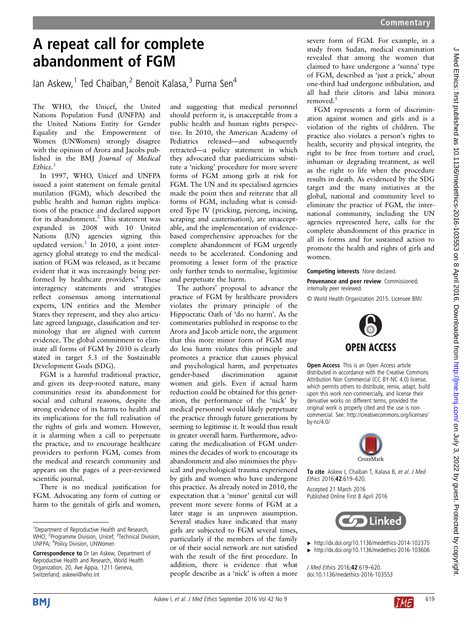## A repeat call for complete abandonment of FGM

Ian Askew,<sup>1</sup> Ted Chaiban,<sup>2</sup> Benoit Kalasa,<sup>3</sup> Purna Sen<sup>4</sup>

The WHO, the Unicef, the United Nations Population Fund (UNFPA) and the United Nations Entity for Gender Equality and the Empowerment of Women (UNWomen) strongly disagree with the opinion of Arora and Jacobs published in the BMJ Journal of Medical Ethics. 1

In 1997, WHO, Unicef and UNFPA issued a joint statement on female genital mutilation (FGM), which described the public health and human rights implications of the practice and declared support for its abandonment.<sup>2</sup> This statement was expanded in 2008 with 10 United Nations (UN) agencies signing this updated version.<sup>3</sup> In 2010, a joint interagency global strategy to end the medicalisation of FGM was released, as it became evident that it was increasingly being performed by healthcare providers.<sup>4</sup> These interagency statements and strategies reflect consensus among international experts, UN entities and the Member States they represent, and they also articulate agreed language, classification and terminology that are aligned with current evidence. The global commitment to eliminate all forms of FGM by 2030 is clearly stated in target 5.3 of the Sustainable Development Goals (SDG).

FGM is a harmful traditional practice, and given its deep-rooted nature, many communities resist its abandonment for social and cultural reasons, despite the strong evidence of its harms to health and its implications for the full realisation of the rights of girls and women. However, it is alarming when a call to perpetuate the practice, and to encourage healthcare providers to perform FGM, comes from the medical and research community and appears on the pages of a peer-reviewed scientific journal.

There is no medical justification for FGM. Advocating any form of cutting or harm to the genitals of girls and women,

and suggesting that medical personnel should perform it, is unacceptable from a public health and human rights perspective. In 2010, the American Academy of Pediatrics released—and subsequently retracted—a policy statement in which they advocated that paediatricians substitute a 'nicking' procedure for more severe forms of FGM among girls at risk for FGM. The UN and its specialised agencies made the point then and reiterate that all forms of FGM, including what is considered Type IV (pricking, piercing, incising, scraping and cauterisation), are unacceptable, and the implementation of evidencebased comprehensive approaches for the complete abandonment of FGM urgently needs to be accelerated. Condoning and promoting a lesser form of the practice only further tends to normalise, legitimise and perpetuate the harm.

The authors' proposal to advance the practice of FGM by healthcare providers violates the primary principle of the Hippocratic Oath of 'do no harm'. As the commentaries published in response to the Arora and Jacob article note, the argument that this more minor form of FGM may do less harm violates this principle and promotes a practice that causes physical and psychological harm, and perpetuates gender-based discrimination against women and girls. Even if actual harm reduction could be obtained for this generation, the performance of the 'nick' by medical personnel would likely perpetuate the practice through future generations by seeming to legitimise it. It would thus result in greater overall harm. Furthermore, advocating the medicalisation of FGM undermines the decades of work to encourage its abandonment and also minimises the physical and psychological trauma experienced by girls and women who have undergone this practice. As already noted in 2010, the expectation that a 'minor' genital cut will prevent more severe forms of FGM at a later stage is an unproven assumption. Several studies have indicated that many girls are subjected to FGM several times, particularly if the members of the family or of their social network are not satisfied with the result of the first procedure. In addition, there is evidence that what people describe as a 'nick' is often a more

severe form of FGM. For example, in a study from Sudan, medical examination revealed that among the women that claimed to have undergone a 'sunna' type of FGM, described as 'just a prick,' about one-third had undergone infibulation, and all had their clitoris and labia minora removed.<sup>5</sup>

FGM represents a form of discrimination against women and girls and is a violation of the rights of children. The practice also violates a person's rights to health, security and physical integrity, the right to be free from torture and cruel, inhuman or degrading treatment, as well as the right to life when the procedure results in death. As evidenced by the SDG target and the many initiatives at the global, national and community level to eliminate the practice of FGM, the international community, including the UN agencies represented here, calls for the complete abandonment of this practice in all its forms and for sustained action to promote the health and rights of girls and women.

Competing interests None declared. Provenance and peer review Commissioned; internally peer reviewed.

© World Health Organization 2015. Licensee BMJ



**Open Access** This is an Open Access article distributed in accordance with the Creative Commons Attribution Non Commercial (CC BY-NC 4.0) license, which permits others to distribute, remix, adapt, build upon this work non-commercially, and license their derivative works on different terms, provided the original work is properly cited and the use is noncommercial. See: [http://creativecommons.org/licenses/](http://creativecommons.org/licenses/by-nc/4.0/) [by-nc/4.0/](http://creativecommons.org/licenses/by-nc/4.0/)



To cite Askew I, Chaiban T, Kalasa B, et al. J Med Ethics 2016;42:619–620. Accepted 21 March 2016

Published Online First 8 April 2016



▸ <http://dx.doi.org/10.1136/medethics-2014-102375>

▸ <http://dx.doi.org/10.1136/medethics-2016-103606>

J Med Ethics 2016;42:619–620. doi:10.1136/medethics-2016-103553





<sup>&</sup>lt;sup>1</sup> Department of Reproductive Health and Research, WHO; <sup>2</sup>Programme Division, Unicef; <sup>3</sup>Technical Division, UNFPA; <sup>4</sup> Policy Division, UNWomen

Correspondence to Dr Ian Askew, Department of Reproductive Health and Research, World Health Organization, 20, Ave Appia, 1211 Geneva, Switzerland; askewi@who.int